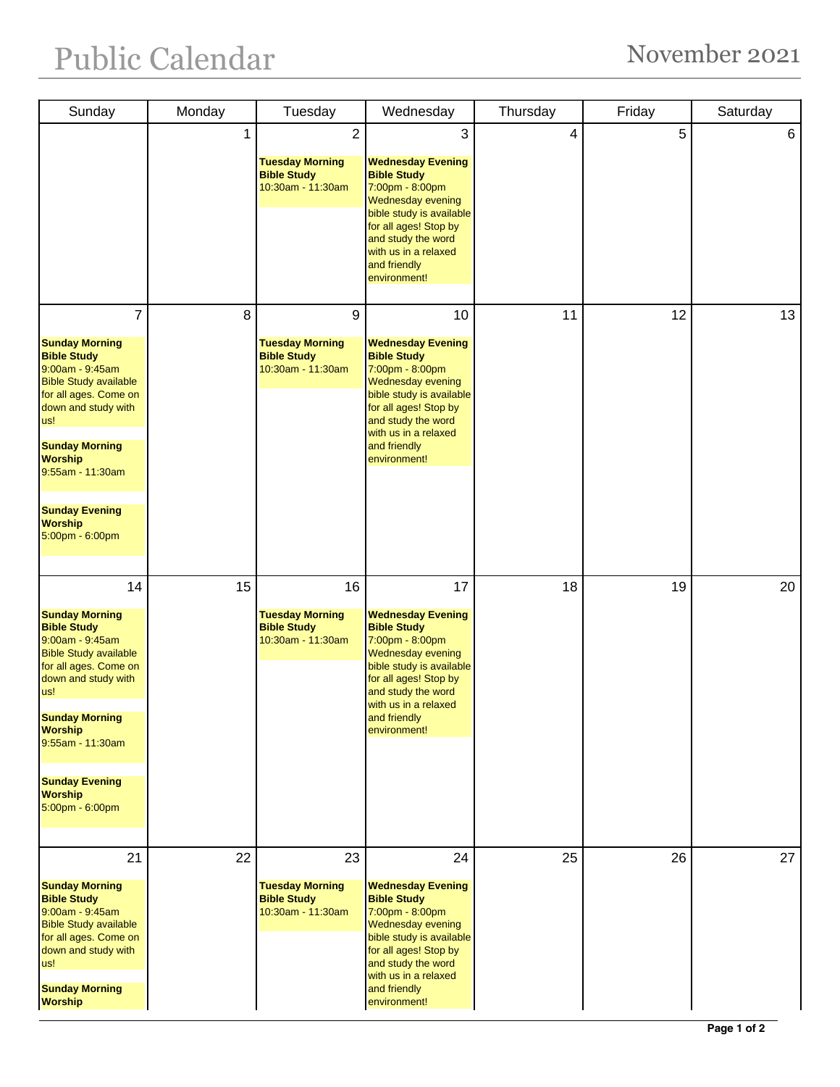## Public Calendar November 2021

| Sunday                                                                                                                                                                                                                                                                                   | Monday | Tuesday                                                                             | Wednesday                                                                                                                                                                                                                              | Thursday | Friday | Saturday |
|------------------------------------------------------------------------------------------------------------------------------------------------------------------------------------------------------------------------------------------------------------------------------------------|--------|-------------------------------------------------------------------------------------|----------------------------------------------------------------------------------------------------------------------------------------------------------------------------------------------------------------------------------------|----------|--------|----------|
|                                                                                                                                                                                                                                                                                          | 1      | $\overline{2}$<br><b>Tuesday Morning</b><br><b>Bible Study</b><br>10:30am - 11:30am | 3<br><b>Wednesday Evening</b><br><b>Bible Study</b><br>7:00pm - 8:00pm<br>Wednesday evening<br>bible study is available<br>for all ages! Stop by<br>and study the word<br>with us in a relaxed<br>and friendly<br>environment!         | 4        | 5      | 6        |
| 7<br><b>Sunday Morning</b><br><b>Bible Study</b><br>9:00am - 9:45am<br><b>Bible Study available</b><br>for all ages. Come on<br>down and study with<br>us!<br><b>Sunday Morning</b><br><b>Worship</b><br>9:55am - 11:30am<br><b>Sunday Evening</b><br><b>Worship</b><br>5:00pm - 6:00pm  | 8      | 9<br><b>Tuesday Morning</b><br><b>Bible Study</b><br>10:30am - 11:30am              | 10<br><b>Wednesday Evening</b><br><b>Bible Study</b><br>7:00pm - 8:00pm<br>Wednesday evening<br>bible study is available<br>for all ages! Stop by<br>and study the word<br>with us in a relaxed<br>and friendly<br>environment!        | 11       | 12     | 13       |
| 14<br><b>Sunday Morning</b><br><b>Bible Study</b><br>9:00am - 9:45am<br><b>Bible Study available</b><br>for all ages. Come on<br>down and study with<br>us!<br><b>Sunday Morning</b><br><b>Worship</b><br>9:55am - 11:30am<br><b>Sunday Evening</b><br><b>Worship</b><br>5:00pm - 6:00pm | 15     | 16<br><b>Tuesday Morning</b><br><b>Bible Study</b><br>10:30am - 11:30am             | 17<br><b>Wednesday Evening</b><br><b>Bible Study</b><br>7:00pm - 8:00pm<br>Wednesday evening<br>bible study is available<br>for all ages! Stop by<br>and study the word<br>with us in a relaxed<br>and friendly<br>environment!        | 18       | 19     | 20       |
| 21<br><b>Sunday Morning</b><br><b>Bible Study</b><br>9:00am - 9:45am<br><b>Bible Study available</b><br>for all ages. Come on<br>down and study with<br>us!<br><b>Sunday Morning</b><br><b>Worship</b>                                                                                   | 22     | 23<br><b>Tuesday Morning</b><br><b>Bible Study</b><br>10:30am - 11:30am             | 24<br><b>Wednesday Evening</b><br><b>Bible Study</b><br>7:00pm - 8:00pm<br><b>Wednesday evening</b><br>bible study is available<br>for all ages! Stop by<br>and study the word<br>with us in a relaxed<br>and friendly<br>environment! | 25       | 26     | 27       |